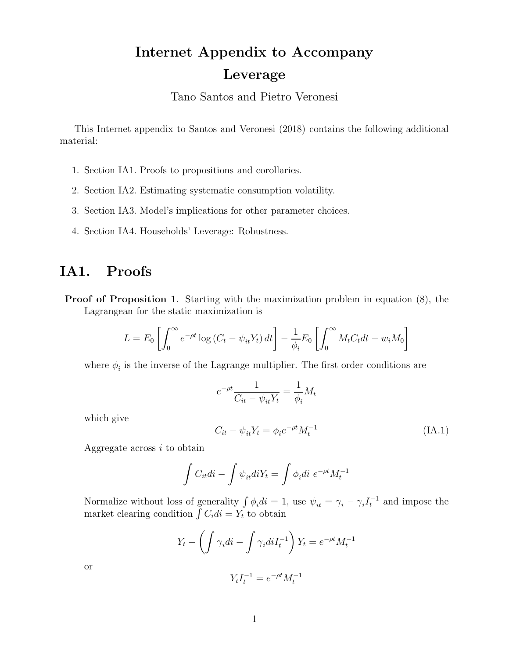# Internet Appendix to Accompany Leverage

Tano Santos and Pietro Veronesi

This Internet appendix to Santos and Veronesi (2018) contains the following additional material:

- 1. Section IA1. Proofs to propositions and corollaries.
- 2. Section IA2. Estimating systematic consumption volatility.
- 3. Section IA3. Model's implications for other parameter choices.
- 4. Section IA4. Households' Leverage: Robustness.

# IA1. Proofs

Proof of Proposition 1. Starting with the maximization problem in equation  $(8)$ , the Lagrangean for the static maximization is

$$
L = E_0 \left[ \int_0^\infty e^{-\rho t} \log \left( C_t - \psi_{it} Y_t \right) dt \right] - \frac{1}{\phi_i} E_0 \left[ \int_0^\infty M_t C_t dt - w_i M_0 \right]
$$

where  $\phi_i$  is the inverse of the Lagrange multiplier. The first order conditions are

$$
e^{-\rho t} \frac{1}{C_{it} - \psi_{it} Y_t} = \frac{1}{\phi_i} M_t
$$

which give

$$
C_{it} - \psi_{it} Y_t = \phi_i e^{-\rho t} M_t^{-1}
$$
\n
$$
(IA.1)
$$

Aggregate across  $i$  to obtain

$$
\int C_{it}di - \int \psi_{it}diY_t = \int \phi_i di \ e^{-\rho t} M_t^{-1}
$$

Normalize without loss of generality  $\int \phi_i di = 1$ , use  $\psi_{it} = \gamma_i - \gamma_i I_t^{-1}$  and impose the market clearing condition  $\int C_i di = Y_t$  to obtain

$$
Y_t - \left(\int \gamma_i di - \int \gamma_i di I_t^{-1}\right) Y_t = e^{-\rho t} M_t^{-1}
$$

or

$$
Y_t I_t^{-1} = e^{-\rho t} M_t^{-1}
$$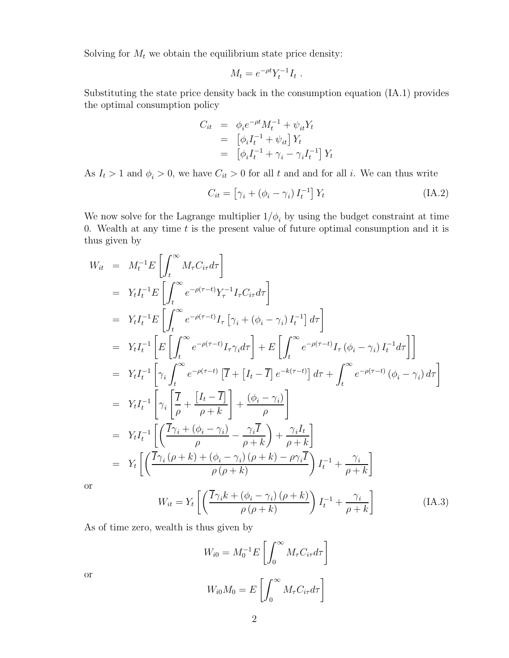Solving for  $M_t$  we obtain the equilibrium state price density:

$$
M_t = e^{-\rho t} Y_t^{-1} I_t .
$$

Substituting the state price density back in the consumption equation (IA.1) provides the optimal consumption policy

$$
C_{it} = \phi_i e^{-\rho t} M_t^{-1} + \psi_{it} Y_t
$$
  
= 
$$
[\phi_i I_t^{-1} + \psi_{it}] Y_t
$$
  
= 
$$
[\phi_i I_t^{-1} + \gamma_i - \gamma_i I_t^{-1}] Y_t
$$

As  $I_t > 1$  and  $\phi_i > 0$ , we have  $C_{it} > 0$  for all t and and for all i. We can thus write

$$
C_{it} = \left[\gamma_i + \left(\phi_i - \gamma_i\right)I_t^{-1}\right]Y_t
$$
\n(IA.2)

We now solve for the Lagrange multiplier  $1/\phi_i$  by using the budget constraint at time 0. Wealth at any time  $t$  is the present value of future optimal consumption and it is thus given by

$$
W_{it} = M_{t}^{-1}E\left[\int_{t}^{\infty} M_{\tau}C_{i\tau}d\tau\right]
$$
  
\n
$$
= Y_{t}I_{t}^{-1}E\left[\int_{t}^{\infty} e^{-\rho(\tau-t)}Y_{\tau}^{-1}I_{\tau}C_{i\tau}d\tau\right]
$$
  
\n
$$
= Y_{t}I_{t}^{-1}E\left[\int_{t}^{\infty} e^{-\rho(\tau-t)}I_{\tau}\left[\gamma_{i} + (\phi_{i} - \gamma_{i})I_{t}^{-1}\right]d\tau\right]
$$
  
\n
$$
= Y_{t}I_{t}^{-1}\left[E\left[\int_{t}^{\infty} e^{-\rho(\tau-t)}I_{\tau}\gamma_{i}d\tau\right] + E\left[\int_{t}^{\infty} e^{-\rho(\tau-t)}I_{\tau}(\phi_{i} - \gamma_{i})I_{t}^{-1}d\tau\right]\right]
$$
  
\n
$$
= Y_{t}I_{t}^{-1}\left[\gamma_{i}\int_{t}^{\infty} e^{-\rho(\tau-t)}\left[\overline{I} + \left[I_{t} - \overline{I}\right]e^{-k(\tau-t)}\right]d\tau + \int_{t}^{\infty} e^{-\rho(\tau-t)}(\phi_{i} - \gamma_{i})d\tau\right]
$$
  
\n
$$
= Y_{t}I_{t}^{-1}\left[\gamma_{i}\left[\frac{\overline{I}}{\rho} + \frac{\left[I_{t} - \overline{I}\right]}{\rho + k}\right] + \frac{(\phi_{i} - \gamma_{i})}{\rho}\right]
$$
  
\n
$$
= Y_{t}I_{t}^{-1}\left[\left(\frac{\overline{I}\gamma_{i} + (\phi_{i} - \gamma_{i})}{\rho} - \frac{\gamma_{i}\overline{I}}{\rho + k}\right) + \frac{\gamma_{i}I_{t}}{\rho + k}\right]
$$
  
\n
$$
= Y_{t}\left[\left(\frac{\overline{I}\gamma_{i}(\rho + k) + (\phi_{i} - \gamma_{i})(\rho + k) - \rho\gamma_{i}\overline{I}}{\rho(\rho + k)}\right)I_{t}^{-1} + \frac{\gamma_{i}}{\rho + k}\right]
$$
  
\nIf  
\n
$$
W_{it} = Y_{t}\left[\left(\frac{\overline{I}\gamma_{i}k + (\phi_{i} - \gamma_{i})(\rho + k
$$

O<sub>I</sub>

$$
W_{it} = Y_t \left[ \left( \frac{\overline{I} \gamma_i k + (\phi_i - \gamma_i) (\rho + k)}{\rho (\rho + k)} \right) I_t^{-1} + \frac{\gamma_i}{\rho + k} \right]
$$
(IA.3)

As of time zero, wealth is thus given by

$$
W_{i0} = M_0^{-1} E \left[ \int_0^\infty M_\tau C_{i\tau} d\tau \right]
$$

$$
W_{i0} M_0 = E \left[ \int_0^\infty M_\tau C_{i\tau} d\tau \right]
$$

or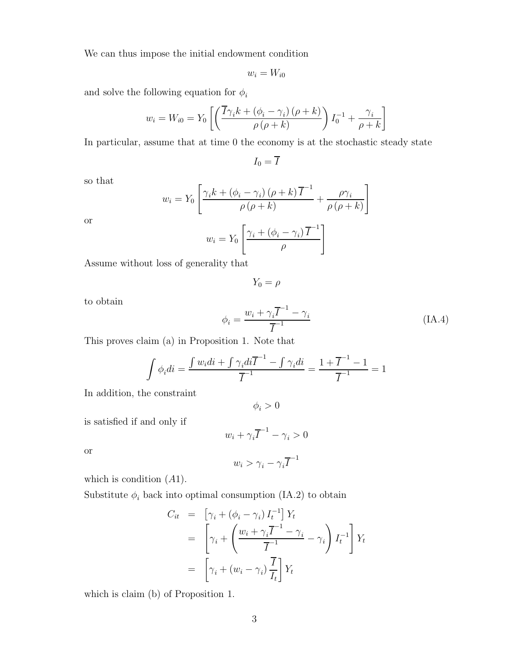We can thus impose the initial endowment condition

$$
w_i = W_{i0}
$$

and solve the following equation for  $\phi_i$ 

$$
w_i = W_{i0} = Y_0 \left[ \left( \frac{\overline{I} \gamma_i k + (\phi_i - \gamma_i) (\rho + k)}{\rho (\rho + k)} \right) I_0^{-1} + \frac{\gamma_i}{\rho + k} \right]
$$

In particular, assume that at time 0 the economy is at the stochastic steady state

$$
I_0=\overline{I}
$$

so that

$$
w_i = Y_0 \left[ \frac{\gamma_i k + (\phi_i - \gamma_i) (\rho + k) \overline{I}^{-1}}{\rho (\rho + k)} + \frac{\rho \gamma_i}{\rho (\rho + k)} \right]
$$
  

$$
Y \left[ \gamma_i + (\phi_i - \gamma_i) \overline{I}^{-1} \right]
$$

or

$$
w_i = Y_0 \left[ \frac{\gamma_i + (\phi_i - \gamma_i) \overline{I}^{-1}}{\rho} \right]
$$

Assume without loss of generality that

$$
Y_0 = \rho
$$

to obtain

$$
\phi_i = \frac{w_i + \gamma_i \overline{I}^{-1} - \gamma_i}{\overline{I}^{-1}} \tag{IA.4}
$$

This proves claim (a) in Proposition 1. Note that

$$
\int \phi_i di = \frac{\int w_i di + \int \gamma_i di \overline{I}^{-1} - \int \gamma_i di}{\overline{I}^{-1}} = \frac{1 + \overline{I}^{-1} - 1}{\overline{I}^{-1}} = 1
$$

In addition, the constraint

$$
\phi_i > 0
$$

is satisfied if and only if

$$
w_i + \gamma_i \overline{I}^{-1} - \gamma_i > 0
$$

or

$$
w_i > \gamma_i - \gamma_i \overline{I}^{-1}
$$

which is condition  $(A1)$ .

Substitute  $\phi_i$  back into optimal consumption (IA.2) to obtain

$$
C_{it} = \left[ \gamma_i + (\phi_i - \gamma_i) I_t^{-1} \right] Y_t
$$
  
= 
$$
\left[ \gamma_i + \left( \frac{w_i + \gamma_i \overline{I}^{-1} - \gamma_i}{\overline{I}^{-1}} - \gamma_i \right) I_t^{-1} \right] Y_t
$$
  
= 
$$
\left[ \gamma_i + (w_i - \gamma_i) \frac{\overline{I}}{I_t} \right] Y_t
$$

which is claim (b) of Proposition 1.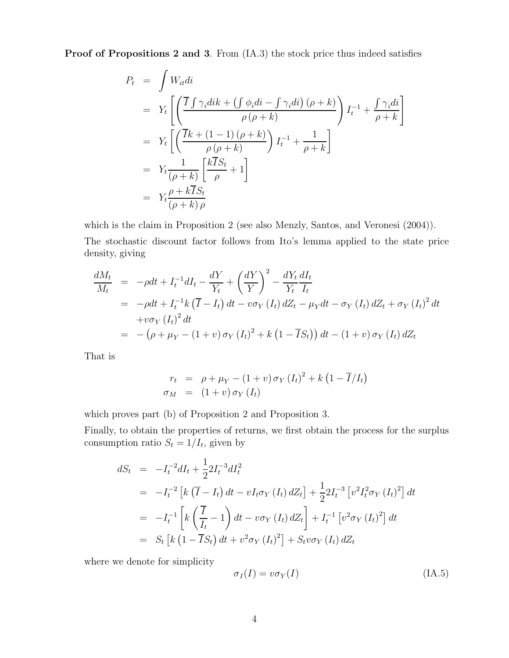Proof of Propositions 2 and 3. From  $(IA.3)$  the stock price thus indeed satisfies

$$
P_t = \int W_{it}di
$$
  
=  $Y_t \left[ \left( \frac{\overline{I} \int \gamma_i dik + (\int \phi_i di - \int \gamma_i di) (\rho + k)}{\rho (\rho + k)} \right) I_t^{-1} + \frac{\int \gamma_i di}{\rho + k} \right]$   
=  $Y_t \left[ \left( \frac{\overline{I}k + (1 - 1)(\rho + k)}{\rho (\rho + k)} \right) I_t^{-1} + \frac{1}{\rho + k} \right]$   
=  $Y_t \frac{1}{(\rho + k)} \left[ \frac{k \overline{I} S_t}{\rho} + 1 \right]$   
=  $Y_t \frac{\rho + k \overline{I} S_t}{(\rho + k) \rho}$ 

which is the claim in Proposition 2 (see also Menzly, Santos, and Veronesi (2004)).

The stochastic discount factor follows from Ito's lemma applied to the state price density, giving

$$
\frac{dM_t}{M_t} = -\rho dt + I_t^{-1} dI_t - \frac{dY}{Y_t} + \left(\frac{dY}{Y}\right)^2 - \frac{dY_t}{Y_t} \frac{dI_t}{I_t}
$$
\n
$$
= -\rho dt + I_t^{-1} k (\overline{I} - I_t) dt - v \sigma_Y (I_t) dZ_t - \mu_Y dt - \sigma_Y (I_t) dZ_t + \sigma_Y (I_t)^2 dt
$$
\n
$$
+ v \sigma_Y (I_t)^2 dt
$$
\n
$$
= -(\rho + \mu_Y - (1 + v) \sigma_Y (I_t)^2 + k (1 - \overline{I} S_t)) dt - (1 + v) \sigma_Y (I_t) dZ_t
$$

That is

$$
r_t = \rho + \mu_Y - (1 + v) \sigma_Y (I_t)^2 + k (1 - \overline{I}/I_t)
$$
  

$$
\sigma_M = (1 + v) \sigma_Y (I_t)
$$

which proves part (b) of Proposition 2 and Proposition 3.

Finally, to obtain the properties of returns, we first obtain the process for the surplus consumption ratio  $S_t = 1/I_t$ , given by

$$
dS_t = -I_t^{-2} dI_t + \frac{1}{2} 2I_t^{-3} dI_t^2
$$
  
=  $-I_t^{-2} [k (\overline{I} - I_t) dt - v I_t \sigma_Y (I_t) dZ_t] + \frac{1}{2} 2I_t^{-3} [v^2 I_t^2 \sigma_Y (I_t)^2] dt$   
=  $-I_t^{-1} [k (\frac{\overline{I}}{I_t} - 1) dt - v \sigma_Y (I_t) dZ_t] + I_t^{-1} [v^2 \sigma_Y (I_t)^2] dt$   
=  $S_t [k (1 - \overline{I} S_t) dt + v^2 \sigma_Y (I_t)^2] + S_t v \sigma_Y (I_t) dZ_t$ 

where we denote for simplicity

$$
\sigma_I(I) = v \sigma_Y(I) \tag{IA.5}
$$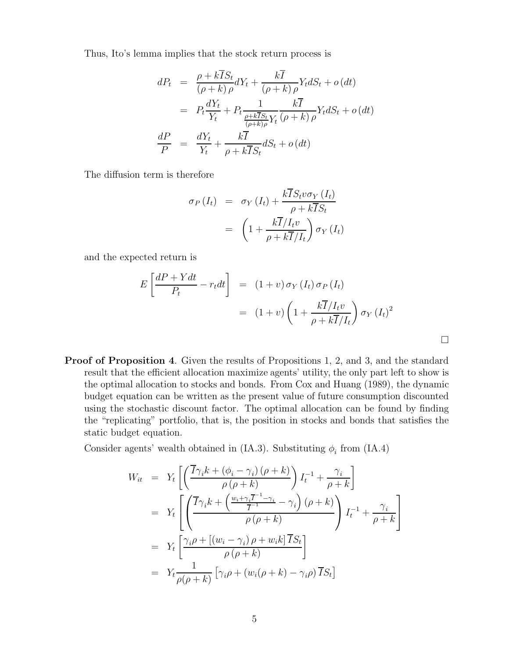Thus, Ito's lemma implies that the stock return process is

$$
dP_t = \frac{\rho + k\overline{I}S_t}{(\rho + k)\rho}dY_t + \frac{k\overline{I}}{(\rho + k)\rho}Y_t dS_t + o(dt)
$$
  

$$
= P_t \frac{dY_t}{Y_t} + P_t \frac{1}{\frac{\rho + k\overline{I}S_t}{(\rho + k)\rho}Y_t} \frac{k\overline{I}}{(\rho + k)\rho}Y_t dS_t + o(dt)
$$
  

$$
\frac{dP}{P} = \frac{dY_t}{Y_t} + \frac{k\overline{I}}{\rho + k\overline{I}S_t}dS_t + o(dt)
$$

The diffusion term is therefore

$$
\sigma_P(I_t) = \sigma_Y(I_t) + \frac{k \overline{I} S_t v \sigma_Y(I_t)}{\rho + k \overline{I} S_t}
$$

$$
= \left(1 + \frac{k \overline{I}/I_t v}{\rho + k \overline{I}/I_t}\right) \sigma_Y(I_t)
$$

and the expected return is

$$
E\left[\frac{dP + Ydt}{P_t} - r_t dt\right] = (1 + v)\sigma_Y(I_t)\sigma_P(I_t)
$$
  
= 
$$
(1 + v)\left(1 + \frac{k\overline{I}/I_t v}{\rho + k\overline{I}/I_t}\right)\sigma_Y(I_t)^2
$$

Proof of Proposition 4. Given the results of Propositions 1, 2, and 3, and the standard result that the efficient allocation maximize agents' utility, the only part left to show is the optimal allocation to stocks and bonds. From Cox and Huang (1989), the dynamic budget equation can be written as the present value of future consumption discounted using the stochastic discount factor. The optimal allocation can be found by finding the "replicating" portfolio, that is, the position in stocks and bonds that satisfies the static budget equation.

Consider agents' wealth obtained in (IA.3). Substituting  $\phi_i$  from (IA.4)

$$
W_{it} = Y_t \left[ \left( \frac{\overline{I} \gamma_i k + (\phi_i - \gamma_i) (\rho + k)}{\rho (\rho + k)} \right) I_t^{-1} + \frac{\gamma_i}{\rho + k} \right]
$$
  
\n
$$
= Y_t \left[ \left( \frac{\overline{I} \gamma_i k + \left( \frac{w_i + \gamma_i \overline{I}^{-1} - \gamma_i}{\overline{I}^{-1}} - \gamma_i \right) (\rho + k)}{\rho (\rho + k)} \right) I_t^{-1} + \frac{\gamma_i}{\rho + k} \right]
$$
  
\n
$$
= Y_t \left[ \frac{\gamma_i \rho + [(w_i - \gamma_i) \rho + w_i k] \overline{I} S_t}{\rho (\rho + k)} \right]
$$
  
\n
$$
= Y_t \frac{1}{\rho (\rho + k)} [\gamma_i \rho + (w_i (\rho + k) - \gamma_i \rho) \overline{I} S_t]
$$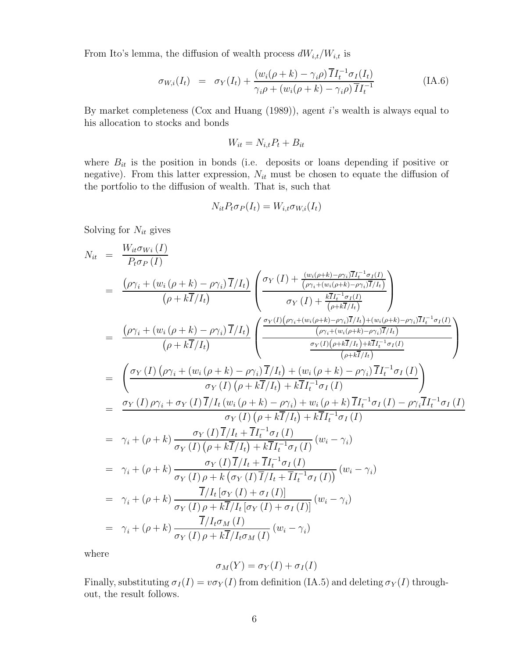From Ito's lemma, the diffusion of wealth process  $dW_{i,t}/W_{i,t}$  is

$$
\sigma_{W,i}(I_t) = \sigma_Y(I_t) + \frac{(w_i(\rho + k) - \gamma_i \rho) \overline{I} I_t^{-1} \sigma_I(I_t)}{\gamma_i \rho + (w_i(\rho + k) - \gamma_i \rho) \overline{I} I_t^{-1}}
$$
(IA.6)

By market completeness (Cox and Huang (1989)), agent i's wealth is always equal to his allocation to stocks and bonds

$$
W_{it} = N_{i,t}P_t + B_{it}
$$

where  $B_{it}$  is the position in bonds (i.e. deposits or loans depending if positive or negative). From this latter expression,  $N_{it}$  must be chosen to equate the diffusion of the portfolio to the diffusion of wealth. That is, such that

$$
N_{it}P_t\sigma_P(I_t) = W_{i,t}\sigma_{W,i}(I_t)
$$

Solving for  $N_{it}$  gives

$$
N_{it} = \frac{W_{it}\sigma_{Wi}(I)}{P_{t}\sigma_{P}(I)}
$$
\n
$$
= \frac{(\rho\gamma_{i} + (w_{i}(\rho + k) - \rho\gamma_{i})\overline{I}/I_{t})}{(\rho + k\overline{I}/I_{t})} \left(\frac{\sigma_{Y}(I) + \frac{(w_{i}(\rho + k) - \rho\gamma_{i})\overline{I}/I_{t}^{-1}\sigma_{I}(I)}{(\rho\gamma_{i} + (w_{i}(\rho + k) - \rho\gamma_{i})\overline{I}/I_{t})}}{\sigma_{Y}(I) + \frac{k\overline{I}I_{t}^{-1}\sigma_{I}(I)}{(\rho + k\overline{I}/I_{t})}}\right)
$$
\n
$$
= \frac{(\rho\gamma_{i} + (w_{i}(\rho + k) - \rho\gamma_{i})\overline{I}/I_{t})}{(\rho + k\overline{I}/I_{t})} \left(\frac{\frac{\sigma_{Y}(I)(\rho\gamma_{i} + (w_{i}(\rho + k) - \rho\gamma_{i})\overline{I}/I_{t}) + (w_{i}(\rho + k) - \rho\gamma_{i})\overline{I}I_{t}^{-1}\sigma_{I}(I)}{(\rho + k\overline{I}/I_{t})} + \frac{k\sigma_{I}V_{t}^{-1}\sigma_{I}(I_{t}) + k\overline{I}I_{t}^{-1}\sigma_{I}(I)}{(\rho + k\overline{I}/I_{t})}\right)
$$
\n
$$
= \left(\frac{\sigma_{Y}(I)(\rho\gamma_{i} + (w_{i}(\rho + k) - \rho\gamma_{i})\overline{I}/I_{t}) + (w_{i}(\rho + k) - \rho\gamma_{i})\overline{I}I_{t}^{-1}\sigma_{I}(I)}{(\rho + k\overline{I}/I_{t}) + k\overline{I}I_{t}^{-1}\sigma_{I}(I)}\right)
$$
\n
$$
= \frac{\sigma_{Y}(I)\rho\gamma_{i} + \sigma_{Y}(I)\overline{I}/I_{t}(w_{i}(\rho + k) - \rho\gamma_{i}) + w_{i}(\rho + k)\overline{I}I_{t}^{-1}\sigma_{I}(I)}{(\rho + k\overline{I}/I_{t}) + k\overline{I}I_{t}^{-1}\sigma_{I}(I)}\right)
$$
\n
$$
= \gamma_{i} + (\rho + k)\frac{\sigma_{Y}(I)\overline{I}/I
$$

where

$$
\sigma_M(Y) = \sigma_Y(I) + \sigma_I(I)
$$

Finally, substituting  $\sigma_I(I) = v \sigma_Y(I)$  from definition (IA.5) and deleting  $\sigma_Y(I)$  throughout, the result follows.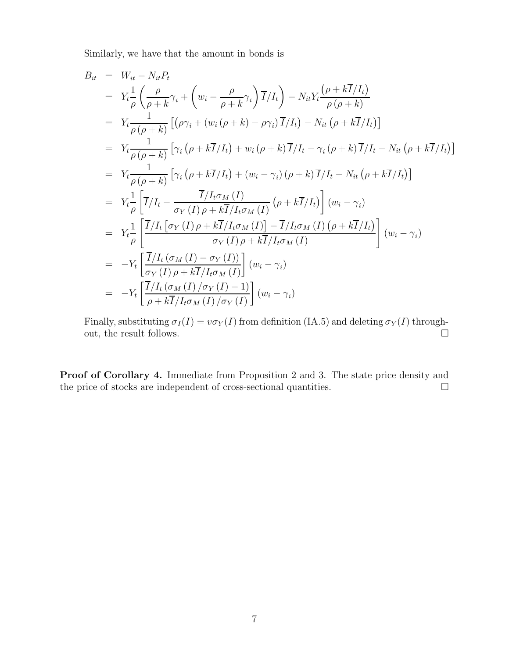Similarly, we have that the amount in bonds is

$$
B_{it} = W_{it} - N_{it}P_{t}
$$
\n
$$
= Y_{t} \frac{1}{\rho} \left( \frac{\rho}{\rho + k} \gamma_{i} + \left( w_{i} - \frac{\rho}{\rho + k} \gamma_{i} \right) \overline{I}/I_{t} \right) - N_{it}Y_{t} \frac{(\rho + k\overline{I}/I_{t})}{\rho(\rho + k)}
$$
\n
$$
= Y_{t} \frac{1}{\rho(\rho + k)} \left[ (\rho \gamma_{i} + (w_{i} (\rho + k) - \rho \gamma_{i}) \overline{I}/I_{t}) - N_{it} (\rho + k\overline{I}/I_{t}) \right]
$$
\n
$$
= Y_{t} \frac{1}{\rho(\rho + k)} \left[ \gamma_{i} (\rho + k\overline{I}/I_{t}) + w_{i} (\rho + k) \overline{I}/I_{t} - \gamma_{i} (\rho + k) \overline{I}/I_{t} - N_{it} (\rho + k\overline{I}/I_{t}) \right]
$$
\n
$$
= Y_{t} \frac{1}{\rho(\rho + k)} \left[ \gamma_{i} (\rho + k\overline{I}/I_{t}) + (w_{i} - \gamma_{i}) (\rho + k) \overline{I}/I_{t} - N_{it} (\rho + k\overline{I}/I_{t}) \right]
$$
\n
$$
= Y_{t} \frac{1}{\rho} \left[ \overline{I}/I_{t} - \frac{\overline{I}/I_{t} \sigma_{M}(I)}{\sigma_{Y}(I) \rho + k\overline{I}/I_{t} \sigma_{M}(I)} (\rho + k\overline{I}/I_{t}) \right] (w_{i} - \gamma_{i})
$$
\n
$$
= Y_{t} \frac{1}{\rho} \left[ \frac{\overline{I}/I_{t} [\sigma_{Y}(I) \rho + k\overline{I}/I_{t} \sigma_{M}(I)] - \overline{I}/I_{t} \sigma_{M}(I) (\rho + k\overline{I}/I_{t})}{\sigma_{Y}(I) \rho + k\overline{I}/I_{t} \sigma_{M}(I)} \right] (w_{i} - \gamma_{i})
$$
\n
$$
= -Y_{t} \left[ \frac{\overline{I}/I_{t} (\sigma_{M}(I) - \sigma_{Y}(I))}{\sigma_{Y}(I) \rho + k\overline{I}/I_{t} \sigma_{M}(I)} \right] (w
$$

Finally, substituting  $\sigma_I(I) = v \sigma_Y(I)$  from definition (IA.5) and deleting  $\sigma_Y(I)$  throughout, the result follows.  $\hfill \square$ 

Proof of Corollary 4. Immediate from Proposition 2 and 3. The state price density and the price of stocks are independent of cross-sectional quantities.  $\Box$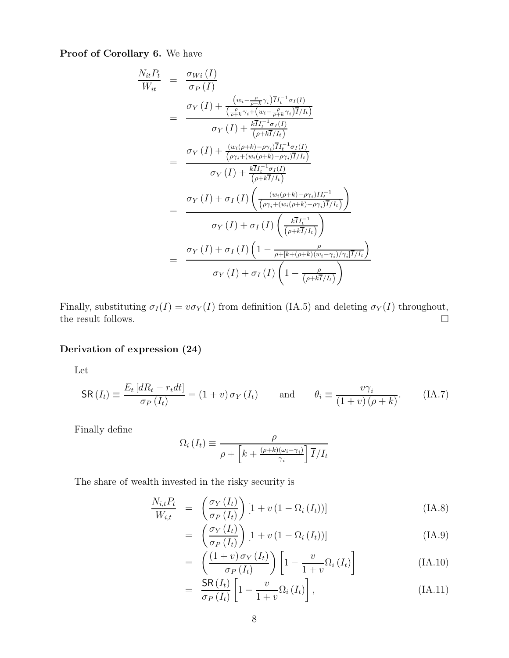Proof of Corollary 6. We have

$$
\frac{N_{it}P_t}{W_{it}} = \frac{\sigma_{Wi}(I)}{\sigma_P(I)}
$$
\n
$$
= \frac{\sigma_Y(I) + \frac{(w_i - \frac{\rho}{\rho + k} \gamma_i) \overline{I} I_t^{-1} \sigma_I(I)}{(\frac{\rho}{\rho + k} \gamma_i + (w_i - \frac{\rho}{\rho + k} \gamma_i) \overline{I} / I_t)} \sigma_Y(I) + \frac{k \overline{I} I_t^{-1} \sigma_I(I)}{(\rho + k \overline{I} / I_t)} \sigma_Y(I) + \frac{k \overline{I} I_t^{-1} \sigma_I(I)}{(\rho \gamma_i + (w_i(\rho + k) - \rho \gamma_i) \overline{I} / I_t)} \sigma_Y(I) + \frac{k \overline{I} I_t^{-1} \sigma_I(I)}{(\rho + k \overline{I} / I_t)} \sigma_Y(I) + \frac{k \overline{I} I_t^{-1} \sigma_I(I)}{(\rho + k \overline{I} / I_t)} \sigma_Y(I) \left( \frac{(w_i(\rho + k) - \rho \gamma_i) \overline{I} I_t^{-1}}{(\rho \gamma_i + (w_i(\rho + k) - \rho \gamma_i) \overline{I} / I_t)} \right)} \sigma_Y(I) + \sigma_I(I) \left( \frac{k \overline{I} I_t^{-1}}{(\rho + k \overline{I} / I_t)} \right)
$$
\n
$$
= \frac{\sigma_Y(I) + \sigma_I(I) \left(1 - \frac{\rho}{\rho + [k + (\rho + k)(w_i - \gamma_i) / \gamma_i] \overline{I} / I_t} \right)}{\sigma_Y(I) + \sigma_I(I) \left(1 - \frac{\rho}{(\rho + k \overline{I} / I_t)} \right)}
$$

Finally, substituting  $\sigma_I(I) = v \sigma_Y(I)$  from definition (IA.5) and deleting  $\sigma_Y(I)$  throughout, the result follows.  $\hfill \Box$ 

## Derivation of expression (24)

Let

$$
\mathsf{SR}(I_t) \equiv \frac{E_t \left[ dR_t - r_t dt \right]}{\sigma_P \left( I_t \right)} = (1 + v) \sigma_Y \left( I_t \right) \quad \text{and} \quad \theta_i \equiv \frac{v \gamma_i}{\left( 1 + v \right) \left( \rho + k \right)}. \quad \text{(IA.7)}
$$

Finally define

$$
\Omega_i(I_t) \equiv \frac{\rho}{\rho + \left[k + \frac{(\rho + k)(\omega_i - \gamma_i)}{\gamma_i}\right] \overline{I}/I_t}
$$

The share of wealth invested in the risky security is

$$
\frac{N_{i,t}P_t}{W_{i,t}} = \left(\frac{\sigma_Y(I_t)}{\sigma_P(I_t)}\right) \left[1 + v\left(1 - \Omega_i\left(I_t\right)\right)\right]
$$
\n(IA.8)

$$
= \left(\frac{\sigma_Y(I_t)}{\sigma_P(I_t)}\right) [1 + v (1 - \Omega_i(I_t))]
$$
\n(IA.9)

$$
= \left(\frac{(1+v)\,\sigma_Y\,(I_t)}{\sigma_P\,(I_t)}\right)\left[1-\frac{v}{1+v}\Omega_i\,(I_t)\right] \tag{IA.10}
$$

$$
= \frac{\mathsf{SR}(I_t)}{\sigma_P(I_t)} \left[ 1 - \frac{v}{1+v} \Omega_i(I_t) \right], \tag{IA.11}
$$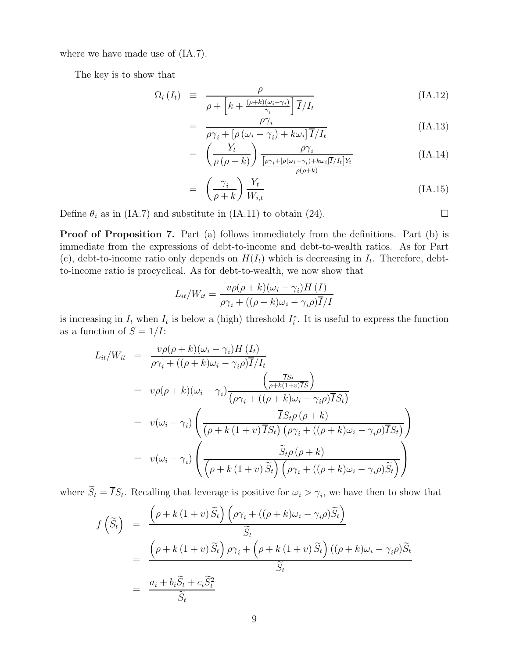where we have made use of (IA.7).

The key is to show that

$$
\Omega_i \left( I_t \right) \equiv \frac{\rho}{\rho + \left[ k + \frac{(\rho + k)(\omega_i - \gamma_i)}{\gamma_i} \right] \overline{I}/I_t}
$$
\n(IA.12)

$$
= \frac{\rho \gamma_i}{\rho \gamma_i + [\rho (\omega_i - \gamma_i) + k \omega_i] \overline{I}/I_t}
$$
 (IA.13)

$$
= \left(\frac{Y_t}{\rho\left(\rho + k\right)}\right) \frac{\rho \gamma_i}{\frac{[\rho \gamma_i + [\rho(\omega_i - \gamma_i) + k\omega_i] \overline{I}/I_t] Y_t}{\rho(\rho + k)}} \tag{IA.14}
$$

$$
= \left(\frac{\gamma_i}{\rho + k}\right) \frac{Y_t}{W_{i,t}} \tag{IA.15}
$$

Define  $\theta_i$  as in (IA.7) and substitute in (IA.11) to obtain (24).

Proof of Proposition 7. Part (a) follows immediately from the definitions. Part (b) is immediate from the expressions of debt-to-income and debt-to-wealth ratios. As for Part (c), debt-to-income ratio only depends on  $H(I_t)$  which is decreasing in  $I_t$ . Therefore, debtto-income ratio is procyclical. As for debt-to-wealth, we now show that

$$
L_{it}/W_{it} = \frac{v\rho(\rho + k)(\omega_i - \gamma_i)H(I)}{\rho\gamma_i + ((\rho + k)\omega_i - \gamma_i\rho)\overline{I}/I}
$$

is increasing in  $I_t$  when  $I_t$  is below a (high) threshold  $I_t^*$ . It is useful to express the function as a function of  $S = 1/I$ :

$$
L_{it}/W_{it} = \frac{v\rho(\rho + k)(\omega_i - \gamma_i)H(I_t)}{\rho\gamma_i + ((\rho + k)\omega_i - \gamma_i\rho)\overline{I}/I_t}
$$
  
\n
$$
= v\rho(\rho + k)(\omega_i - \gamma_i)\frac{\left(\frac{\overline{I}S_t}{\rho + k(1+v)\overline{I}S}\right)}{(\rho\gamma_i + ((\rho + k)\omega_i - \gamma_i\rho)\overline{I}S_t)}
$$
  
\n
$$
= v(\omega_i - \gamma_i)\left(\frac{\overline{I}S_t\rho(\rho + k)}{(\rho + k(1+v)\overline{I}S_t)\left(\rho\gamma_i + ((\rho + k)\omega_i - \gamma_i\rho)\overline{I}S_t\right)}\right)
$$
  
\n
$$
= v(\omega_i - \gamma_i)\left(\frac{\widetilde{S}_t\rho(\rho + k)}{(\rho + k(1+v)\widetilde{S}_t)\left(\rho\gamma_i + ((\rho + k)\omega_i - \gamma_i\rho)\widetilde{S}_t\right)}\right)
$$

where  $S_t = IS_t$ . Recalling that leverage is positive for  $\omega_i > \gamma_i$ , we have then to show that

$$
f\left(\widetilde{S}_t\right) = \frac{\left(\rho + k\left(1+v\right)\widetilde{S}_t\right)\left(\rho\gamma_i + \left((\rho + k)\omega_i - \gamma_i\rho\right)\widetilde{S}_t\right)}{\widetilde{S}_t}
$$
  
= 
$$
\frac{\left(\rho + k\left(1+v\right)\widetilde{S}_t\right)\rho\gamma_i + \left(\rho + k\left(1+v\right)\widetilde{S}_t\right)\left((\rho + k)\omega_i - \gamma_i\rho\right)\widetilde{S}_t}{\widetilde{S}_t}
$$
  
= 
$$
\frac{a_i + b_i\widetilde{S}_t + c_i\widetilde{S}_t^2}{\widetilde{S}_t}
$$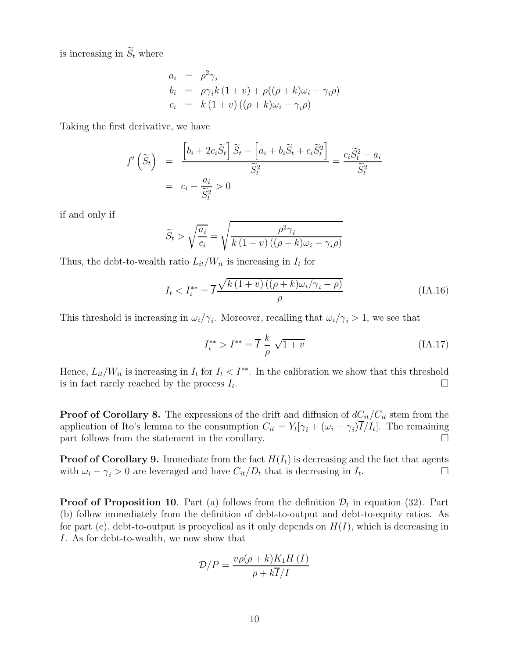is increasing in  $\widetilde{S}_t$  where

$$
a_i = \rho^2 \gamma_i
$$
  
\n
$$
b_i = \rho \gamma_i k (1 + v) + \rho ((\rho + k)\omega_i - \gamma_i \rho)
$$
  
\n
$$
c_i = k (1 + v) ((\rho + k)\omega_i - \gamma_i \rho)
$$

Taking the first derivative, we have

$$
f'\left(\widetilde{S}_t\right) = \frac{\left[b_i + 2c_i\widetilde{S}_t\right]\widetilde{S}_t - \left[a_i + b_i\widetilde{S}_t + c_i\widetilde{S}_t^2\right]}{\widetilde{S}_t^2} = \frac{c_i\widetilde{S}_t^2 - a_i}{\widetilde{S}_t^2}
$$

$$
= c_i - \frac{a_i}{\widetilde{S}_t^2} > 0
$$

if and only if

$$
\widetilde{S}_t > \sqrt{\frac{a_i}{c_i}} = \sqrt{\frac{\rho^2 \gamma_i}{k(1+v)((\rho + k)\omega_i - \gamma_i \rho)}}
$$

Thus, the debt-to-wealth ratio  $L_{it}/W_{it}$  is increasing in  $I_t$  for

$$
I_t < I_i^{**} = \overline{I} \frac{\sqrt{k \left(1 + v\right) \left((\rho + k)\omega_i / \gamma_i - \rho\right)}}{\rho} \tag{IA.16}
$$

This threshold is increasing in  $\omega_i/\gamma_i$ . Moreover, recalling that  $\omega_i/\gamma_i > 1$ , we see that

$$
I_i^{**} > I^{**} = \overline{I} \frac{k}{\rho} \sqrt{1+v}
$$
 (IA.17)

Hence,  $L_{it}/W_{it}$  is increasing in  $I_t$  for  $I_t < I^{**}$ . In the calibration we show that this threshold is in fact rarely reached by the process  $I_t$ . . В последните последните последните последните последните последните последните последните последните последн<br>В 1990 година от селото на 1990 година от селото на 1990 година от селото на 1990 година от селото на 1990 год

**Proof of Corollary 8.** The expressions of the drift and diffusion of  $dC_{it}/C_{it}$  stem from the application of Ito's lemma to the consumption  $C_{it} = Y_t[\gamma_i + (\omega_i - \gamma_i)I/I_t]$ . The remaining part follows from the statement in the corollary.  $\Box$ 

**Proof of Corollary 9.** Immediate from the fact  $H(I_t)$  is decreasing and the fact that agents with  $\omega_i - \gamma_i > 0$  are leveraged and have  $C_{it}/D_t$  that is decreasing in  $I_t$ . .

**Proof of Proposition 10**. Part (a) follows from the definition  $\mathcal{D}_t$  in equation (32). Part (b) follow immediately from the definition of debt-to-output and debt-to-equity ratios. As for part (c), debt-to-output is procyclical as it only depends on  $H(I)$ , which is decreasing in I. As for debt-to-wealth, we now show that

$$
\mathcal{D}/P = \frac{v\rho(\rho + k)K_1H(I)}{\rho + k\overline{I}/I}
$$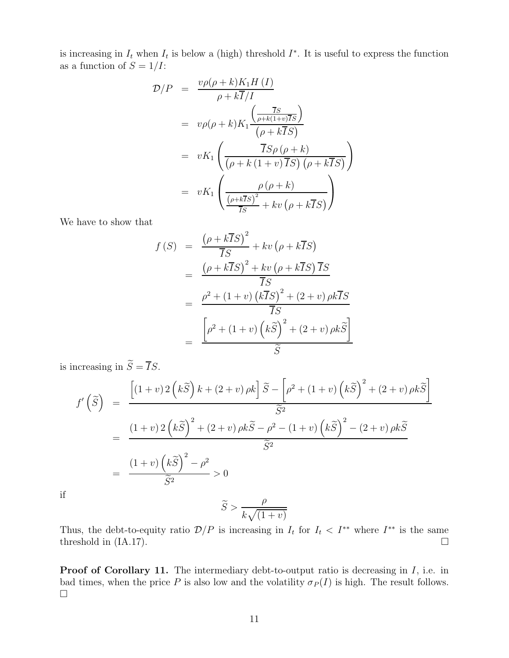is increasing in  $I_t$  when  $I_t$  is below a (high) threshold  $I^*$ . It is useful to express the function as a function of  $S = 1/I$ :

$$
\mathcal{D}/P = \frac{v\rho(\rho + k)K_1H(I)}{\rho + k\overline{I}/I}
$$
  
=  $v\rho(\rho + k)K_1 \frac{\left(\frac{\overline{I}s}{\rho + k(1+v)\overline{I}s}\right)}{(\rho + k\overline{I}s)}$   
=  $vK_1 \left(\frac{\overline{I}s\rho(\rho + k)}{(\rho + k(1+v)\overline{I}s)(\rho + k\overline{I}s)}\right)$   
=  $vK_1 \left(\frac{\rho(\rho + k)}{\frac{(\rho + k\overline{I}s)^2}{\overline{I}s} + kv(\rho + k\overline{I}s)}\right)$ 

We have to show that

$$
f(S) = \frac{(\rho + k\overline{I}S)^2}{\overline{I}S} + kv(\rho + k\overline{I}S)
$$
  
= 
$$
\frac{(\rho + k\overline{I}S)^2 + kv(\rho + k\overline{I}S)\overline{I}S}{\overline{I}S}
$$
  
= 
$$
\frac{\rho^2 + (1+v)(k\overline{I}S)^2 + (2+v)\rho k\overline{I}S}{\overline{I}S}
$$
  
= 
$$
\frac{[\rho^2 + (1+v)(k\widetilde{S})^2 + (2+v)\rho k\widetilde{S}]}{\widetilde{S}}
$$

is increasing in  $\widetilde{S}=\overline{I}S.$ 

$$
f'\left(\tilde{S}\right) = \frac{\left[(1+v)2\left(k\tilde{S}\right)k + (2+v)\rho k\right]\tilde{S} - \left[\rho^2 + (1+v)\left(k\tilde{S}\right)^2 + (2+v)\rho k\tilde{S}\right]}{\tilde{S}^2}
$$
  
= 
$$
\frac{(1+v)2\left(k\tilde{S}\right)^2 + (2+v)\rho k\tilde{S} - \rho^2 - (1+v)\left(k\tilde{S}\right)^2 - (2+v)\rho k\tilde{S}}{\tilde{S}^2}
$$
  
= 
$$
\frac{(1+v)\left(k\tilde{S}\right)^2 - \rho^2}{\tilde{S}^2} > 0
$$

if

$$
\widetilde{S} > \frac{\rho}{k\sqrt{(1+v)}}
$$

Thus, the debt-to-equity ratio  $\mathcal{D}/P$  is increasing in  $I_t$  for  $I_t < I^{**}$  where  $I^{**}$  is the same threshold in (IA.17).  $\Box$ 

Proof of Corollary 11. The intermediary debt-to-output ratio is decreasing in I, i.e. in bad times, when the price P is also low and the volatility  $\sigma_P(I)$  is high. The result follows.  $\Box$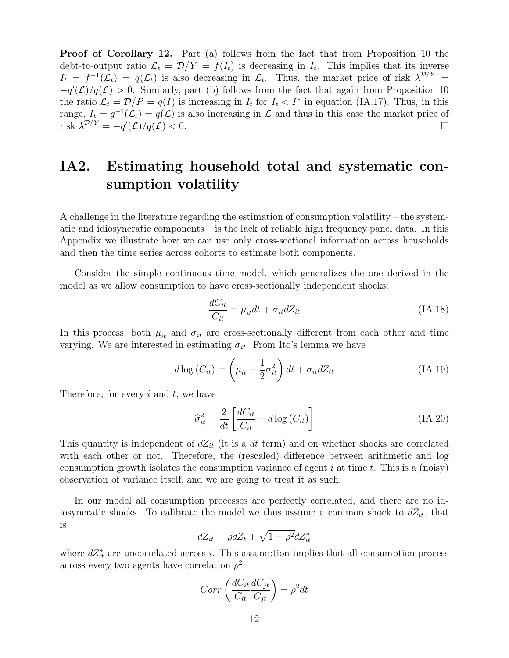Proof of Corollary 12. Part (a) follows from the fact that from Proposition 10 the debt-to-output ratio  $\mathcal{L}_t = \mathcal{D}/Y = f(I_t)$  is decreasing in  $I_t$ . This implies that its inverse  $I_t = f^{-1}(\mathcal{L}_t) = q(\mathcal{L}_t)$  is also decreasing in  $\mathcal{L}_t$ . Thus, the market price of risk  $\lambda^{\mathcal{D}/Y} =$  $-q'(\mathcal{L})/q(\mathcal{L}) > 0$ . Similarly, part (b) follows from the fact that again from Proposition 10 the ratio  $\mathcal{L}_t = \mathcal{D}/P = g(I)$  is increasing in  $I_t$  for  $I_t < I^*$  in equation (IA.17). Thus, in this range,  $I_t = g^{-1}(\mathcal{L}_t) = q(\mathcal{L})$  is also increasing in  $\mathcal L$  and thus in this case the market price of risk  $\lambda^{\mathcal{D}/Y} = -q'(\mathcal{L})/q(\mathcal{L}) < 0.$ 

# IA2. Estimating household total and systematic consumption volatility

A challenge in the literature regarding the estimation of consumption volatility – the systematic and idiosyncratic components – is the lack of reliable high frequency panel data. In this Appendix we illustrate how we can use only cross-sectional information across households and then the time series across cohorts to estimate both components.

Consider the simple continuous time model, which generalizes the one derived in the model as we allow consumption to have cross-sectionally independent shocks:

$$
\frac{dC_{it}}{C_{it}} = \mu_{it} dt + \sigma_{it} dZ_{it}
$$
\n(IA.18)

In this process, both  $\mu_{it}$  and  $\sigma_{it}$  are cross-sectionally different from each other and time varying. We are interested in estimating  $\sigma_{it}$ . From Ito's lemma we have

$$
d \log(C_{it}) = \left(\mu_{it} - \frac{1}{2}\sigma_{it}^2\right)dt + \sigma_{it}dZ_{it}
$$
 (IA.19)

Therefore, for every  $i$  and  $t$ , we have

$$
\hat{\sigma}_{it}^2 = \frac{2}{dt} \left[ \frac{dC_{it}}{C_{it}} - d \log \left( C_{it} \right) \right]
$$
 (IA.20)

This quantity is independent of  $dZ_{it}$  (it is a dt term) and on whether shocks are correlated with each other or not. Therefore, the (rescaled) difference between arithmetic and  $log$ consumption growth isolates the consumption variance of agent  $i$  at time  $t$ . This is a (noisy) observation of variance itself, and we are going to treat it as such.

In our model all consumption processes are perfectly correlated, and there are no idiosyncratic shocks. To calibrate the model we thus assume a common shock to  $dZ_{it}$ , that is

$$
dZ_{it} = \rho dZ_t + \sqrt{1 - \rho^2} dZ_{it}^*
$$

where  $dZ_{it}^*$  are uncorrelated across i. This assumption implies that all consumption process across every two agents have correlation  $\rho^2$ :

$$
Corr\left(\frac{dC_{it}}{C_{it}}\frac{dC_{jt}}{C_{jt}}\right) = \rho^2 dt
$$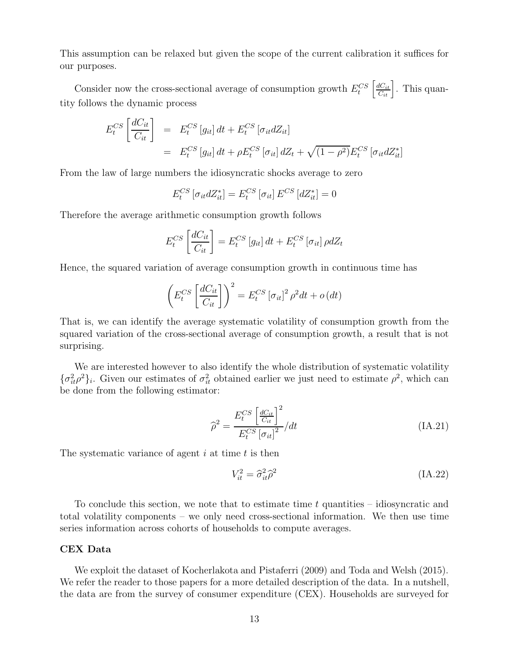This assumption can be relaxed but given the scope of the current calibration it suffices for our purposes.

Consider now the cross-sectional average of consumption growth  $E_t^{CS}$  $\left\lceil \frac{dC_{it}}{C_{it}} \right\rceil$ . This quantity follows the dynamic process

$$
E_t^{CS}\left[\frac{dC_{it}}{C_{it}}\right] = E_t^{CS}\left[g_{it}\right]dt + E_t^{CS}\left[\sigma_{it}dZ_{it}\right]
$$
  
= 
$$
E_t^{CS}\left[g_{it}\right]dt + \rho E_t^{CS}\left[\sigma_{it}\right]dZ_t + \sqrt{(1-\rho^2)}E_t^{CS}\left[\sigma_{it}dZ_{it}^*\right]
$$

From the law of large numbers the idiosyncratic shocks average to zero

$$
E_t^{CS} \left[ \sigma_{it} dZ_{it}^* \right] = E_t^{CS} \left[ \sigma_{it} \right] E^{CS} \left[ dZ_{it}^* \right] = 0
$$

Therefore the average arithmetic consumption growth follows

$$
E_t^{CS}\left[\frac{dC_{it}}{C_{it}}\right] = E_t^{CS}\left[g_{it}\right]dt + E_t^{CS}\left[\sigma_{it}\right]\rho dZ_t
$$

Hence, the squared variation of average consumption growth in continuous time has

$$
\left(E_t^{CS}\left[\frac{dC_{it}}{C_{it}}\right]\right)^2 = E_t^{CS}\left[\sigma_{it}\right]^2 \rho^2 dt + o\left(dt\right)
$$

That is, we can identify the average systematic volatility of consumption growth from the squared variation of the cross-sectional average of consumption growth, a result that is not surprising.

We are interested however to also identify the whole distribution of systematic volatility  $\{\sigma_{it}^2 \rho^2\}_i$ . Given our estimates of  $\sigma_{it}^2$  obtained earlier we just need to estimate  $\rho^2$ , which can be done from the following estimator:

$$
\widehat{\rho}^2 = \frac{E_t^{CS} \left[ \frac{dC_{it}}{C_{it}} \right]^2}{E_t^{CS} \left[ \sigma_{it} \right]^2} / dt
$$
\n(IA.21)

The systematic variance of agent  $i$  at time  $t$  is then

$$
V_{it}^2 = \hat{\sigma}_{it}^2 \hat{\rho}^2 \tag{IA.22}
$$

To conclude this section, we note that to estimate time  $t$  quantities – idiosyncratic and total volatility components – we only need cross-sectional information. We then use time series information across cohorts of households to compute averages.

#### CEX Data

We exploit the dataset of Kocherlakota and Pistaferri (2009) and Toda and Welsh (2015). We refer the reader to those papers for a more detailed description of the data. In a nutshell, the data are from the survey of consumer expenditure (CEX). Households are surveyed for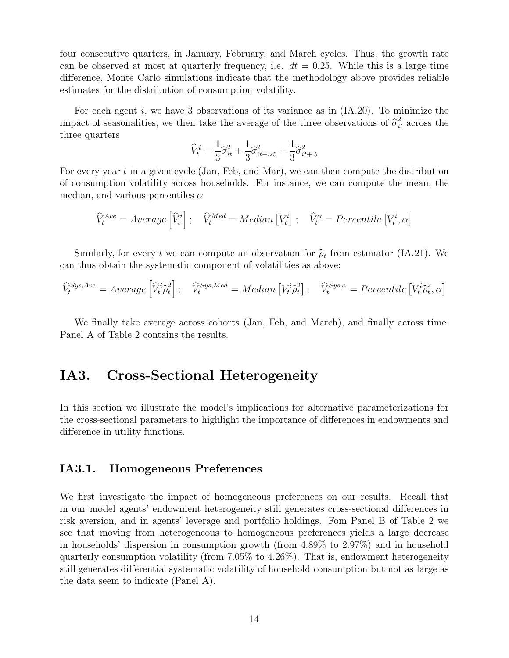four consecutive quarters, in January, February, and March cycles. Thus, the growth rate can be observed at most at quarterly frequency, i.e.  $dt = 0.25$ . While this is a large time difference, Monte Carlo simulations indicate that the methodology above provides reliable estimates for the distribution of consumption volatility.

For each agent i, we have 3 observations of its variance as in  $(IA.20)$ . To minimize the impact of seasonalities, we then take the average of the three observations of  $\hat{\sigma}_{it}^2$  across the three quarters

$$
\widehat{V}_t^i = \frac{1}{3}\widehat{\sigma}_{it}^2 + \frac{1}{3}\widehat{\sigma}_{it+.25}^2 + \frac{1}{3}\widehat{\sigma}_{it+.5}^2
$$

For every year  $t$  in a given cycle (Jan, Feb, and Mar), we can then compute the distribution of consumption volatility across households. For instance, we can compute the mean, the median, and various percentiles  $\alpha$ 

$$
\widehat{V}_t^{Ave} = Average\left[\widehat{V}_t^i\right]; \quad \widehat{V}_t^{Med} = Median\left[V_t^i\right]; \quad \widehat{V}_t^{\alpha} = Percentage\left[V_t^i, \alpha\right]
$$

Similarly, for every t we can compute an observation for  $\hat{\rho}_t$  from estimator (IA.21). We can thus obtain the systematic component of volatilities as above:

$$
\widehat{V}_{t}^{Sys, Ave} = Average\left[\widehat{V}_{t}^{i}\widehat{\rho}_{t}^{2}\right]; \quad \widehat{V}_{t}^{Sys, Med} = Median\left[V_{t}^{i}\widehat{\rho}_{t}^{2}\right]; \quad \widehat{V}_{t}^{Sys, \alpha} = Percentage\left[V_{t}^{i}\widehat{\rho}_{t}^{2}, \alpha\right]
$$

We finally take average across cohorts (Jan, Feb, and March), and finally across time. Panel A of Table 2 contains the results.

## IA3. Cross-Sectional Heterogeneity

In this section we illustrate the model's implications for alternative parameterizations for the cross-sectional parameters to highlight the importance of differences in endowments and difference in utility functions.

### IA3.1. Homogeneous Preferences

We first investigate the impact of homogeneous preferences on our results. Recall that in our model agents' endowment heterogeneity still generates cross-sectional differences in risk aversion, and in agents' leverage and portfolio holdings. Fom Panel B of Table 2 we see that moving from heterogeneous to homogeneous preferences yields a large decrease in households' dispersion in consumption growth (from 4.89% to 2.97%) and in household quarterly consumption volatility (from 7.05% to 4.26%). That is, endowment heterogeneity still generates differential systematic volatility of household consumption but not as large as the data seem to indicate (Panel A).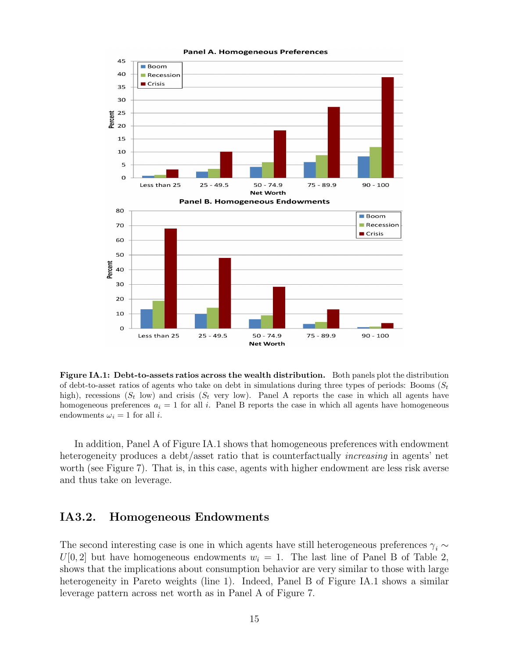

Panel A. Homogeneous Preferences

Figure IA.1: Debt-to-assets ratios across the wealth distribution. Both panels plot the distribution of debt-to-asset ratios of agents who take on debt in simulations during three types of periods: Booms  $(S_t)$ high), recessions  $(S_t \text{ low})$  and crisis  $(S_t \text{ very low})$ . Panel A reports the case in which all agents have homogeneous preferences  $a_i = 1$  for all i. Panel B reports the case in which all agents have homogeneous endowments  $\omega_i = 1$  for all *i*.

In addition, Panel A of Figure IA.1 shows that homogeneous preferences with endowment heterogeneity produces a debt/asset ratio that is counterfactually *increasing* in agents' net worth (see Figure 7). That is, in this case, agents with higher endowment are less risk averse and thus take on leverage.

### IA3.2. Homogeneous Endowments

The second interesting case is one in which agents have still heterogeneous preferences  $\gamma_i \sim$  $U[0, 2]$  but have homogeneous endowments  $w<sub>i</sub> = 1$ . The last line of Panel B of Table 2, shows that the implications about consumption behavior are very similar to those with large heterogeneity in Pareto weights (line 1). Indeed, Panel B of Figure IA.1 shows a similar leverage pattern across net worth as in Panel A of Figure 7.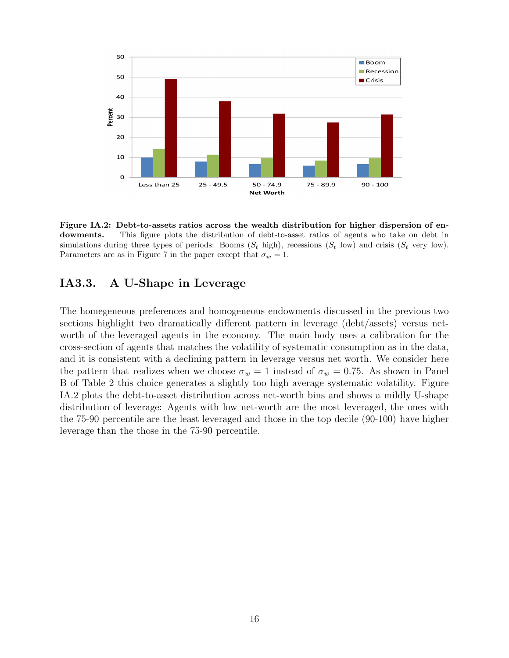

Figure IA.2: Debt-to-assets ratios across the wealth distribution for higher dispersion of endowments. This figure plots the distribution of debt-to-asset ratios of agents who take on debt in simulations during three types of periods: Booms  $(S_t \text{ high})$ , recessions  $(S_t \text{ low})$  and crisis  $(S_t \text{ very low})$ . Parameters are as in Figure 7 in the paper except that  $\sigma_w = 1$ .

## IA3.3. A U-Shape in Leverage

The homegeneous preferences and homogeneous endowments discussed in the previous two sections highlight two dramatically different pattern in leverage (debt/assets) versus networth of the leveraged agents in the economy. The main body uses a calibration for the cross-section of agents that matches the volatility of systematic consumption as in the data, and it is consistent with a declining pattern in leverage versus net worth. We consider here the pattern that realizes when we choose  $\sigma_w = 1$  instead of  $\sigma_w = 0.75$ . As shown in Panel B of Table 2 this choice generates a slightly too high average systematic volatility. Figure IA.2 plots the debt-to-asset distribution across net-worth bins and shows a mildly U-shape distribution of leverage: Agents with low net-worth are the most leveraged, the ones with the 75-90 percentile are the least leveraged and those in the top decile (90-100) have higher leverage than the those in the 75-90 percentile.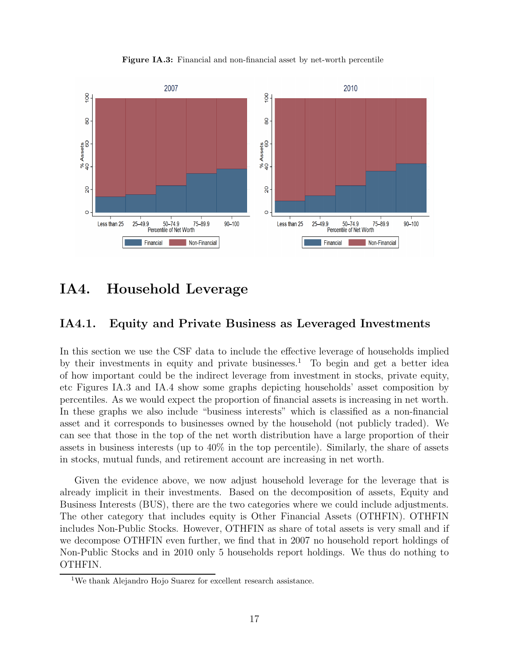Figure IA.3: Financial and non-financial asset by net-worth percentile



# IA4. Household Leverage

## IA4.1. Equity and Private Business as Leveraged Investments

In this section we use the CSF data to include the effective leverage of households implied by their investments in equity and private businesses.<sup>1</sup> To begin and get a better idea of how important could be the indirect leverage from investment in stocks, private equity, etc Figures IA.3 and IA.4 show some graphs depicting households' asset composition by percentiles. As we would expect the proportion of financial assets is increasing in net worth. In these graphs we also include "business interests" which is classified as a non-financial asset and it corresponds to businesses owned by the household (not publicly traded). We can see that those in the top of the net worth distribution have a large proportion of their assets in business interests (up to 40% in the top percentile). Similarly, the share of assets in stocks, mutual funds, and retirement account are increasing in net worth.

Given the evidence above, we now adjust household leverage for the leverage that is already implicit in their investments. Based on the decomposition of assets, Equity and Business Interests (BUS), there are the two categories where we could include adjustments. The other category that includes equity is Other Financial Assets (OTHFIN). OTHFIN includes Non-Public Stocks. However, OTHFIN as share of total assets is very small and if we decompose OTHFIN even further, we find that in 2007 no household report holdings of Non-Public Stocks and in 2010 only 5 households report holdings. We thus do nothing to OTHFIN.

<sup>1</sup>We thank Alejandro Hojo Suarez for excellent research assistance.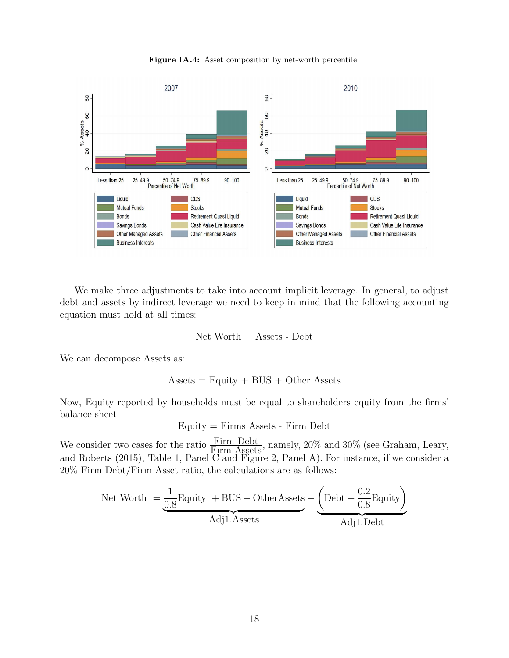



We make three adjustments to take into account implicit leverage. In general, to adjust debt and assets by indirect leverage we need to keep in mind that the following accounting equation must hold at all times:

$$
Net Worth = Assets - Debt
$$

We can decompose Assets as:

$$
Assets = Equity + BUS + Other Assets
$$

Now, Equity reported by households must be equal to shareholders equity from the firms' balance sheet

$$
Equity = \text{Firms}\,\,\text{Assets - Firm}\,\,\text{Debt}
$$

We consider two cases for the ratio  $\frac{\text{Firm}\ \text{Debt}}{\text{Firm}\ \text{Assets}}$ , namely, 20% and 30% (see Graham, Leary, and Roberts (2015), Table 1, Panel C and Figure 2, Panel A). For instance, if we consider a 20% Firm Debt/Firm Asset ratio, the calculations are as follows:

$$
Net Worth = \underbrace{\frac{1}{0.8} \text{Equity } + \text{BUS} + \text{OtherAssets}}_{\text{Adj1}.\text{Assets}} - \underbrace{\left(\text{Debt} + \frac{0.2}{0.8} \text{Equity}\right)}_{\text{Adj1}.\text{Debt}}
$$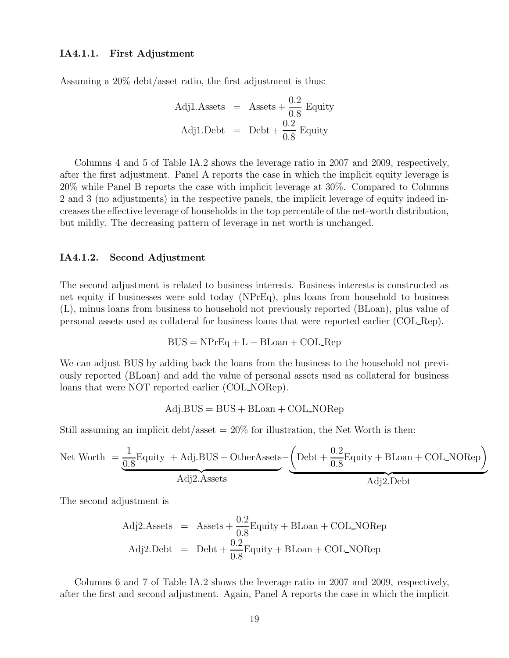#### IA4.1.1. First Adjustment

Assuming a 20% debt/asset ratio, the first adjustment is thus:

Adj1. Assets = Assets + 
$$
\frac{0.2}{0.8}
$$
 Equity  
Adj1.Debt = Debt +  $\frac{0.2}{0.8}$  Equity

Columns 4 and 5 of Table IA.2 shows the leverage ratio in 2007 and 2009, respectively, after the first adjustment. Panel A reports the case in which the implicit equity leverage is 20% while Panel B reports the case with implicit leverage at 30%. Compared to Columns 2 and 3 (no adjustments) in the respective panels, the implicit leverage of equity indeed increases the effective leverage of households in the top percentile of the net-worth distribution, but mildly. The decreasing pattern of leverage in net worth is unchanged.

#### IA4.1.2. Second Adjustment

The second adjustment is related to business interests. Business interests is constructed as net equity if businesses were sold today (NPrEq), plus loans from household to business (L), minus loans from business to household not previously reported (BLoan), plus value of personal assets used as collateral for business loans that were reported earlier (COL Rep).

$$
BUS = NPrEq + L - BLOan + COL\_\text{Rep}
$$

We can adjust BUS by adding back the loans from the business to the household not previously reported (BLoan) and add the value of personal assets used as collateral for business loans that were NOT reported earlier (COL NORep).

$$
Adj.BUS = BUS + B Loan + COL\_NORep
$$

Still assuming an implicit debt/asset  $= 20\%$  for illustration, the Net Worth is then:

$$
Net Worth = \underbrace{\frac{1}{0.8} \text{Equity} + \text{Adj.BUS} + \text{OtherAssets}}_{\text{Adj2}.\text{Assets}} - \underbrace{\left(\text{Debt} + \frac{0.2}{0.8} \text{Equity} + \text{BLoan} + \text{COL-NORep}\right)}_{\text{Adj2}.\text{Desets}}
$$

The second adjustment is

Adj2. Assets = Assets + 
$$
\frac{0.2}{0.8}
$$
 Equity + BLOan + COL-NORep  
Adj2.Debt = Debt +  $\frac{0.2}{0.8}$  Equity + BLOan + COL-NORep

Columns 6 and 7 of Table IA.2 shows the leverage ratio in 2007 and 2009, respectively, after the first and second adjustment. Again, Panel A reports the case in which the implicit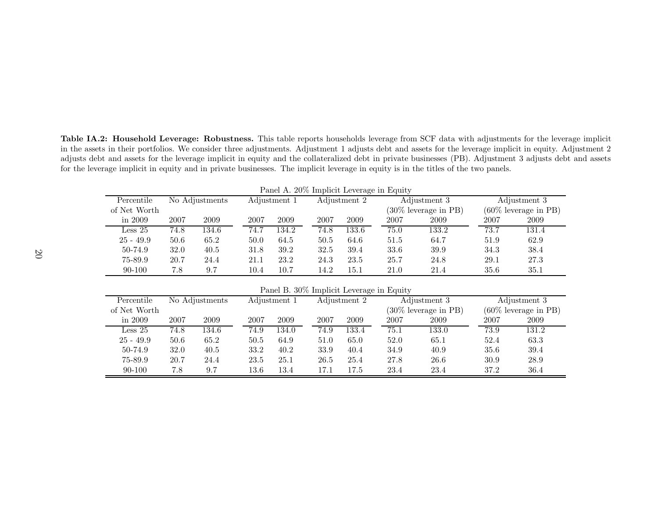Table IA.2: Household Leverage: Robustness. This table reports households leverage from SCF data with adjustments for the leverage implicit in the assets in their portfolios. We consider three adjustments. Adjustment 1 adjusts debt and assets for the leverage implicit in equity. Adjustment 2 adjusts debt and assets for the leverage implicit in equity and the collateralized debt in private businesses (PB). Adjustment <sup>3</sup> adjusts debt and assetsfor the leverage implicit in equity and in private businesses. The implicit leverage in equity is in the titles of the two panels.

|                                          |                |       |              |       |              |       | т анст и. 2070 ширнего псустаде ни первого |                         |                            |                         |
|------------------------------------------|----------------|-------|--------------|-------|--------------|-------|--------------------------------------------|-------------------------|----------------------------|-------------------------|
| Percentile                               | No Adjustments |       | Adjustment 1 |       | Adjustment 2 |       | Adjustment 3                               |                         | Adjustment 3               |                         |
| of Net Worth                             |                |       |              |       |              |       | $(30\%$ leverage in PB)                    |                         | $(60\%$ leverage in PB $)$ |                         |
| in $2009$                                | 2007           | 2009  | 2007         | 2009  | 2007         | 2009  | 2007                                       | 2009                    | 2007                       | 2009                    |
| Less 25                                  | 74.8           | 134.6 | 74.7         | 134.2 | 74.8         | 133.6 | 75.0                                       | 133.2                   | 73.7                       | 131.4                   |
| $25 - 49.9$                              | 50.6           | 65.2  | 50.0         | 64.5  | 50.5         | 64.6  | 51.5                                       | 64.7                    | 51.9                       | 62.9                    |
| 50-74.9                                  | 32.0           | 40.5  | 31.8         | 39.2  | 32.5         | 39.4  | 33.6                                       | 39.9                    | 34.3                       | 38.4                    |
| 75-89.9                                  | 20.7           | 24.4  | 21.1         | 23.2  | 24.3         | 23.5  | 25.7                                       | 24.8                    | 29.1                       | 27.3                    |
| 90-100                                   | 7.8            | 9.7   | 10.4         | 10.7  | 14.2         | 15.1  | 21.0                                       | 21.4                    | 35.6                       | 35.1                    |
|                                          |                |       |              |       |              |       |                                            |                         |                            |                         |
| Panel B. 30% Implicit Leverage in Equity |                |       |              |       |              |       |                                            |                         |                            |                         |
| Percentile                               | No Adjustments |       | Adjustment 1 |       | Adjustment 2 |       | Adjustment 3                               |                         | Adjustment 3               |                         |
| of Net Worth                             |                |       |              |       |              |       |                                            | $(30\%$ leverage in PB) |                            | $(60\%$ leverage in PB) |
| in 2009                                  | 2007           | 2009  | 2007         | 2009  | 2007         | 2009  | 2007                                       | 2009                    | 2007                       | 2009                    |
| Less 25                                  | 74.8           | 134.6 | 74.9         | 134.0 | 74.9         | 133.4 | 75.1                                       | 133.0                   | 73.9                       | 131.2                   |
| $25 - 49.9$                              | 50.6           | 65.2  | 50.5         | 64.9  | 51.0         | 65.0  | 52.0                                       | 65.1                    | 52.4                       | 63.3                    |
| 50-74.9                                  | 32.0           | 40.5  | 33.2         | 40.2  | 33.9         | 40.4  | 34.9                                       | 40.9                    | 35.6                       | 39.4                    |
| 75-89.9                                  | 20.7           | 24.4  | 23.5         | 25.1  | 26.5         | 25.4  | 27.8                                       | 26.6                    | 30.9                       | 28.9                    |

90-100 7.8 9.7 13.6 13.4 17.1 17.5 23.4 23.4 37.2 36.4

36.4

Panel A. 20% Implicit Leverage in Equity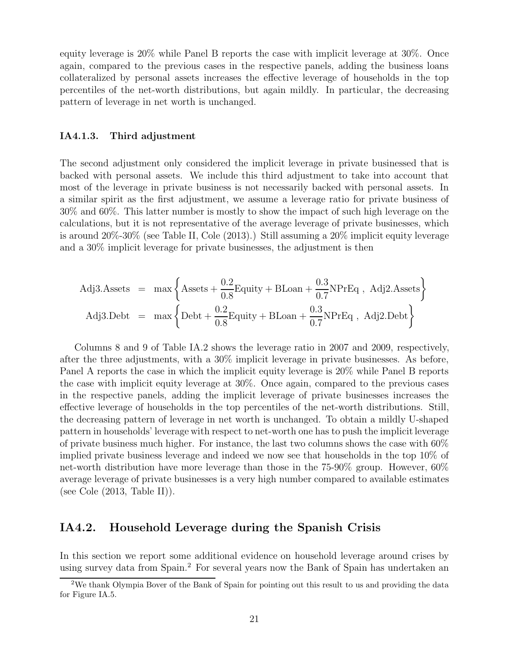equity leverage is 20% while Panel B reports the case with implicit leverage at 30%. Once again, compared to the previous cases in the respective panels, adding the business loans collateralized by personal assets increases the effective leverage of households in the top percentiles of the net-worth distributions, but again mildly. In particular, the decreasing pattern of leverage in net worth is unchanged.

#### IA4.1.3. Third adjustment

The second adjustment only considered the implicit leverage in private businessed that is backed with personal assets. We include this third adjustment to take into account that most of the leverage in private business is not necessarily backed with personal assets. In a similar spirit as the first adjustment, we assume a leverage ratio for private business of 30% and 60%. This latter number is mostly to show the impact of such high leverage on the calculations, but it is not representative of the average leverage of private businesses, which is around 20%-30% (see Table II, Cole (2013).) Still assuming a 20% implicit equity leverage and a 30% implicit leverage for private businesses, the adjustment is then

Adj3. Assets = max 
$$
\left\{ \text{Assets} + \frac{0.2}{0.8} \text{Equity} + \text{BLoan} + \frac{0.3}{0.7} \text{NPrEq}
$$
, Adj2. Assets  $\right\}$   
Adj3. Debt = max  $\left\{ \text{Debt} + \frac{0.2}{0.8} \text{Equity} + \text{BLoan} + \frac{0.3}{0.7} \text{NPrEq}$ , Adj2. Debt  $\right\}$ 

Columns 8 and 9 of Table IA.2 shows the leverage ratio in 2007 and 2009, respectively, after the three adjustments, with a 30% implicit leverage in private businesses. As before, Panel A reports the case in which the implicit equity leverage is 20% while Panel B reports the case with implicit equity leverage at 30%. Once again, compared to the previous cases in the respective panels, adding the implicit leverage of private businesses increases the effective leverage of households in the top percentiles of the net-worth distributions. Still, the decreasing pattern of leverage in net worth is unchanged. To obtain a mildly U-shaped pattern in households' leverage with respect to net-worth one has to push the implicit leverage of private business much higher. For instance, the last two columns shows the case with 60% implied private business leverage and indeed we now see that households in the top 10% of net-worth distribution have more leverage than those in the 75-90% group. However, 60% average leverage of private businesses is a very high number compared to available estimates (see Cole (2013, Table II)).

## IA4.2. Household Leverage during the Spanish Crisis

In this section we report some additional evidence on household leverage around crises by using survey data from Spain.<sup>2</sup> For several years now the Bank of Spain has undertaken an

<sup>&</sup>lt;sup>2</sup>We thank Olympia Bover of the Bank of Spain for pointing out this result to us and providing the data for Figure IA.5.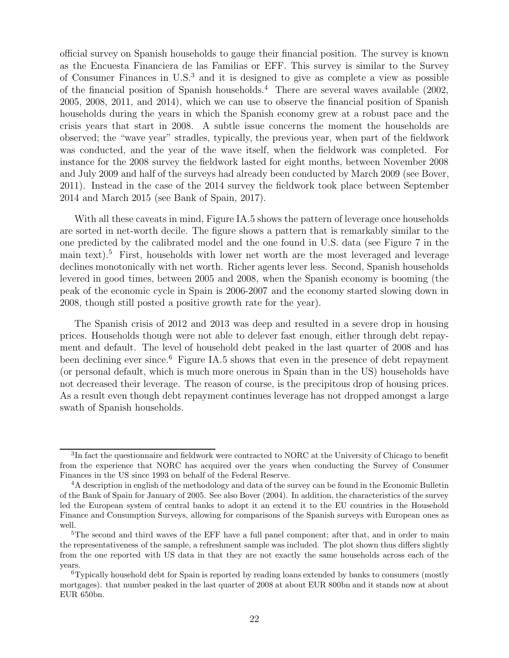official survey on Spanish households to gauge their financial position. The survey is known as the Encuesta Financiera de las Familias or EFF. This survey is similar to the Survey of Consumer Finances in U.S.<sup>3</sup> and it is designed to give as complete a view as possible of the financial position of Spanish households.<sup>4</sup> There are several waves available (2002, 2005, 2008, 2011, and 2014), which we can use to observe the financial position of Spanish households during the years in which the Spanish economy grew at a robust pace and the crisis years that start in 2008. A subtle issue concerns the moment the households are observed; the "wave year" stradles, typically, the previous year, when part of the fieldwork was conducted, and the year of the wave itself, when the fieldwork was completed. For instance for the 2008 survey the fieldwork lasted for eight months, between November 2008 and July 2009 and half of the surveys had already been conducted by March 2009 (see Bover, 2011). Instead in the case of the 2014 survey the fieldwork took place between September 2014 and March 2015 (see Bank of Spain, 2017).

With all these caveats in mind, Figure IA.5 shows the pattern of leverage once households are sorted in net-worth decile. The figure shows a pattern that is remarkably similar to the one predicted by the calibrated model and the one found in U.S. data (see Figure 7 in the main text).<sup>5</sup> First, households with lower net worth are the most leveraged and leverage declines monotonically with net worth. Richer agents lever less. Second, Spanish households levered in good times, between 2005 and 2008, when the Spanish economy is booming (the peak of the economic cycle in Spain is 2006-2007 and the economy started slowing down in 2008, though still posted a positive growth rate for the year).

The Spanish crisis of 2012 and 2013 was deep and resulted in a severe drop in housing prices. Households though were not able to delever fast enough, either through debt repayment and default. The level of household debt peaked in the last quarter of 2008 and has been declining ever since.<sup>6</sup> Figure IA.5 shows that even in the presence of debt repayment (or personal default, which is much more onerous in Spain than in the US) households have not decreased their leverage. The reason of course, is the precipitous drop of housing prices. As a result even though debt repayment continues leverage has not dropped amongst a large swath of Spanish households.

<sup>&</sup>lt;sup>3</sup>In fact the questionnaire and fieldwork were contracted to NORC at the University of Chicago to benefit from the experience that NORC has acquired over the years when conducting the Survey of Consumer Finances in the US since 1993 on behalf of the Federal Reserve.

<sup>&</sup>lt;sup>4</sup>A description in english of the methodology and data of the survey can be found in the Economic Bulletin of the Bank of Spain for January of 2005. See also Bover (2004). In addition, the characteristics of the survey led the European system of central banks to adopt it an extend it to the EU countries in the Household Finance and Consumption Surveys, allowing for comparisons of the Spanish surveys with European ones as well.

<sup>&</sup>lt;sup>5</sup>The second and third waves of the EFF have a full panel component; after that, and in order to main the representativeness of the sample, a refreshment sample was included. The plot shown thus differs slightly from the one reported with US data in that they are not exactly the same households across each of the years.

<sup>6</sup>Typically household debt for Spain is reported by reading loans extended by banks to consumers (mostly mortgages). that number peaked in the last quarter of 2008 at about EUR 800bn and it stands now at about EUR 650bn.